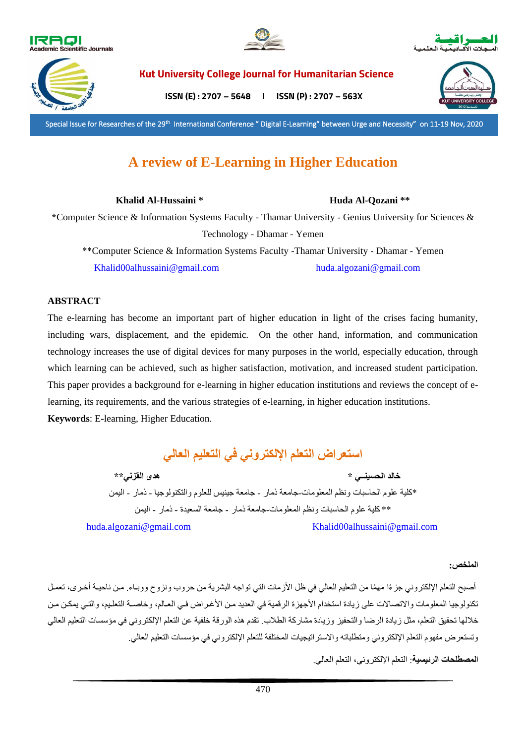







**Kut University College Journal for Humanitarian Science**

**ISSN (E) : 2707 – 5648 I ISSN (P) : 2707 – 563X** 

Special Issue for Researches of the 29<sup>th</sup> International Conference " Digital E-Learning" between Urge and Necessity" on 11-19 Nov, 2020

# **A review of E-Learning in Higher Education**

**Khalid Al-Hussaini \* Huda Al-Qozani \*\***

**\***Computer Science & Information Systems Faculty - Thamar University - Genius University for Sciences & Technology - Dhamar - Yemen

\*\*Computer Science & Information Systems Faculty -Thamar University - Dhamar - Yemen [Khalid00alhussaini@gmail.com](mailto:Khalid00alhussaini@gmail.com) [huda.algozani@gmail.com](mailto:huda.algozani@gmail.com)

# **ABSTRACT**

The e-learning has become an important part of higher education in light of the crises facing humanity, including wars, displacement, and the epidemic. On the other hand, information, and communication technology increases the use of digital devices for many purposes in the world, especially education, through which learning can be achieved, such as higher satisfaction, motivation, and increased student participation. This paper provides a background for e-learning in higher education institutions and reviews the concept of elearning, its requirements, and the various strategies of e-learning, in higher education institutions. **Keywords**: E-learning, Higher Education.

**استعراض التعلم اإللكتروني في التعليم العالي** 

 **خالد الحسينــي \* هدى القزني\*\***  \*كلية علوم الحاسبات ونظم المعلومات-جامعة ذمار - جامعة جينيس للعلوم والتكنولوجيا - ذمار - اليمن \*\* كلية علوم الحاسبات ونظم المعلومات-جامعة ذمار - جامعة السعيدة - ذمار - اليمن [huda.algozani@gmail.com](mailto:huda.algozani@gmail.com) [Khalid00alhussaini@gmail.com](mailto:Khalid00alhussaini@gmail.com) 

# **الملخص:**

أصبح التعلم الإلكتروني جزءًا مهمًا من التعليم العالي في ظل الأزمات التي تواجه البشرية من حروب ونزوح ووبـاء. من ناحيـة أخـري، تعمـل تكنولوجيا المعلومات والاتصالات على زيادة استخدام الأجهزة الرقمية في العديد من الأغراض في العالم، وخاصـة التعليم، والتـي يمكن من خلالها تحقيق التعلم، مثل زيادة الرضا والتحفيز وزيادة مشاركة الطلاب. تقدم هذه الورقة خلفية عن التعلم الإلكتروني في مؤسسات التعليم العالي وتستعر ض مفهوم التعلم الإلكتروني ومتطلباته والاستر اتيجيات المختلفة للتعلم الإلكتروني في مؤسسات التعليم العالي.

**المصطلحات الرئيسية**: التعلم اإللكتروني التعلم العاليم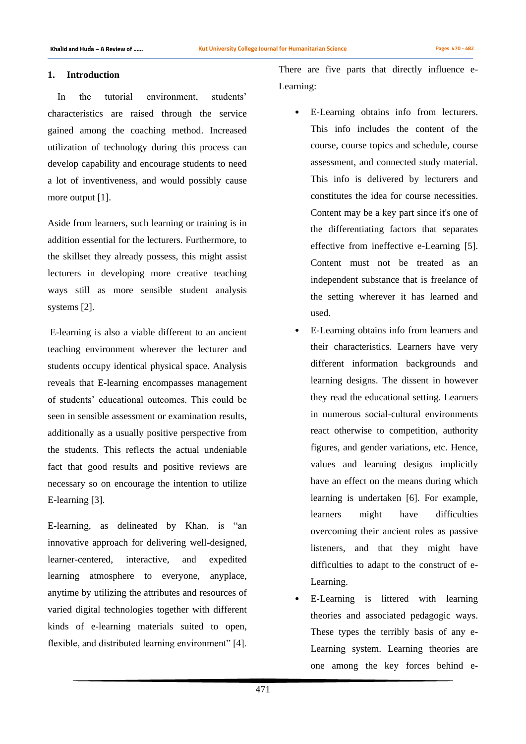## **1. Introduction**

 In the tutorial environment, students' characteristics are raised through the service gained among the coaching method. Increased utilization of technology during this process can develop capability and encourage students to need a lot of inventiveness, and would possibly cause more output [1].

Aside from learners, such learning or training is in addition essential for the lecturers. Furthermore, to the skillset they already possess, this might assist lecturers in developing more creative teaching ways still as more sensible student analysis systems [2].

E-learning is also a viable different to an ancient teaching environment wherever the lecturer and students occupy identical physical space. Analysis reveals that E-learning encompasses management of students' educational outcomes. This could be seen in sensible assessment or examination results, additionally as a usually positive perspective from the students. This reflects the actual undeniable fact that good results and positive reviews are necessary so on encourage the intention to utilize E-learning [3].

E-learning, as delineated by Khan, is "an innovative approach for delivering well-designed, learner-centered, interactive, and expedited learning atmosphere to everyone, anyplace, anytime by utilizing the attributes and resources of varied digital technologies together with different kinds of e-learning materials suited to open, flexible, and distributed learning environment" [4].

There are five parts that directly influence e-Learning:

- E-Learning obtains info from lecturers. This info includes the content of the course, course topics and schedule, course assessment, and connected study material. This info is delivered by lecturers and constitutes the idea for course necessities. Content may be a key part since it's one of the differentiating factors that separates effective from ineffective e-Learning [5]. Content must not be treated as an independent substance that is freelance of the setting wherever it has learned and used.
- E-Learning obtains info from learners and their characteristics. Learners have very different information backgrounds and learning designs. The dissent in however they read the educational setting. Learners in numerous social-cultural environments react otherwise to competition, authority figures, and gender variations, etc. Hence, values and learning designs implicitly have an effect on the means during which learning is undertaken [6]. For example, learners might have difficulties overcoming their ancient roles as passive listeners, and that they might have difficulties to adapt to the construct of e-Learning.
- E-Learning is littered with learning theories and associated pedagogic ways. These types the terribly basis of any e-Learning system. Learning theories are one among the key forces behind e-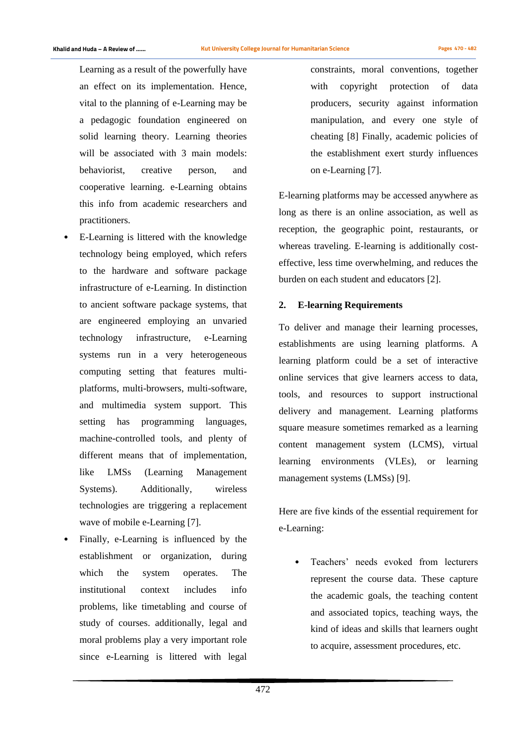Learning as a result of the powerfully have an effect on its implementation. Hence, vital to the planning of e-Learning may be a pedagogic foundation engineered on solid learning theory. Learning theories will be associated with 3 main models: behaviorist, creative person, and cooperative learning. e-Learning obtains this info from academic researchers and practitioners.

- E-Learning is littered with the knowledge technology being employed, which refers to the hardware and software package infrastructure of e-Learning. In distinction to ancient software package systems, that are engineered employing an unvaried technology infrastructure, e-Learning systems run in a very heterogeneous computing setting that features multiplatforms, multi-browsers, multi-software, and multimedia system support. This setting has programming languages, machine-controlled tools, and plenty of different means that of implementation, like LMSs (Learning Management Systems). Additionally, wireless technologies are triggering a replacement wave of mobile e-Learning [7].
- Finally, e-Learning is influenced by the establishment or organization, during which the system operates. The institutional context includes info problems, like timetabling and course of study of courses. additionally, legal and moral problems play a very important role since e-Learning is littered with legal

constraints, moral conventions, together with copyright protection of data producers, security against information manipulation, and every one style of cheating [8] Finally, academic policies of the establishment exert sturdy influences on e-Learning [7].

E-learning platforms may be accessed anywhere as long as there is an online association, as well as reception, the geographic point, restaurants, or whereas traveling. E-learning is additionally costeffective, less time overwhelming, and reduces the burden on each student and educators [2].

### **2. E-learning Requirements**

To deliver and manage their learning processes, establishments are using learning platforms. A learning platform could be a set of interactive online services that give learners access to data, tools, and resources to support instructional delivery and management. Learning platforms square measure sometimes remarked as a learning content management system (LCMS), virtual learning environments (VLEs), or learning management systems (LMSs) [9].

Here are five kinds of the essential requirement for e-Learning:

• Teachers' needs evoked from lecturers represent the course data. These capture the academic goals, the teaching content and associated topics, teaching ways, the kind of ideas and skills that learners ought to acquire, assessment procedures, etc.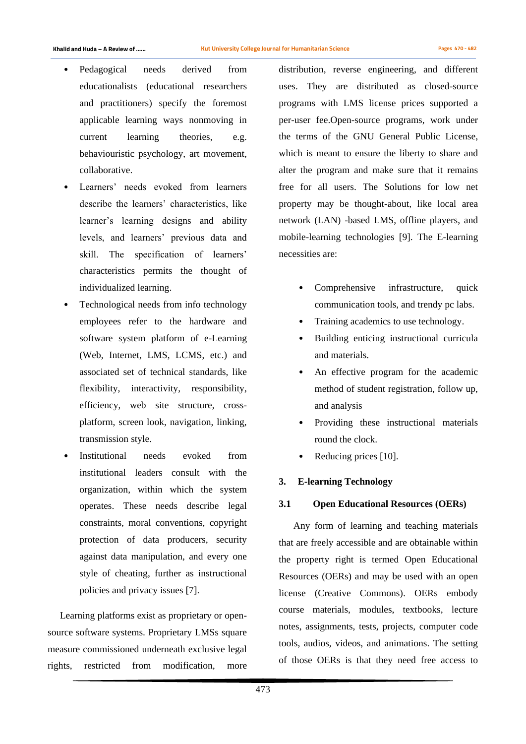- Pedagogical needs derived from educationalists (educational researchers and practitioners) specify the foremost applicable learning ways nonmoving in current learning theories, e.g. behaviouristic psychology, art movement, collaborative.
- Learners' needs evoked from learners describe the learners' characteristics, like learner's learning designs and ability levels, and learners' previous data and skill. The specification of learners' characteristics permits the thought of individualized learning.
- Technological needs from info technology employees refer to the hardware and software system platform of e-Learning (Web, Internet, LMS, LCMS, etc.) and associated set of technical standards, like flexibility, interactivity, responsibility, efficiency, web site structure, crossplatform, screen look, navigation, linking, transmission style.
- Institutional needs evoked from institutional leaders consult with the organization, within which the system operates. These needs describe legal constraints, moral conventions, copyright protection of data producers, security against data manipulation, and every one style of cheating, further as instructional policies and privacy issues [7].

 Learning platforms exist as proprietary or opensource software systems. Proprietary LMSs square measure commissioned underneath exclusive legal rights, restricted from modification, more distribution, reverse engineering, and different uses. They are distributed as closed-source programs with LMS license prices supported a per-user fee.Open-source programs, work under the terms of the GNU General Public License, which is meant to ensure the liberty to share and alter the program and make sure that it remains free for all users. The Solutions for low net property may be thought-about, like local area network (LAN) -based LMS, offline players, and mobile-learning technologies [9]. The E-learning necessities are:

- Comprehensive infrastructure, quick communication tools, and trendy pc labs.
- Training academics to use technology.
- Building enticing instructional curricula and materials.
- An effective program for the academic method of student registration, follow up, and analysis
- Providing these instructional materials round the clock.
- Reducing prices [10].

## **3. E-learning Technology**

## **3.1 Open Educational Resources (OERs)**

 Any form of learning and teaching materials that are freely accessible and are obtainable within the property right is termed Open Educational Resources (OERs) and may be used with an open license (Creative Commons). OERs embody course materials, modules, textbooks, lecture notes, assignments, tests, projects, computer code tools, audios, videos, and animations. The setting of those OERs is that they need free access to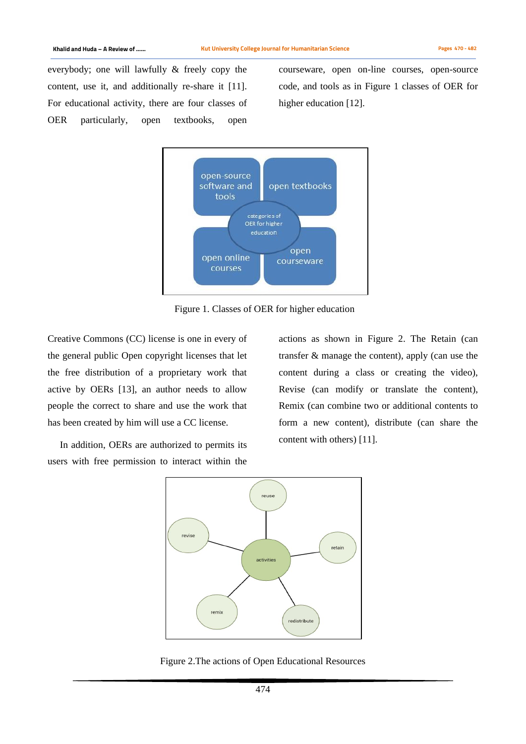everybody; one will lawfully & freely copy the content, use it, and additionally re-share it [11]. For educational activity, there are four classes of OER particularly, open textbooks, open

courseware, open on-line courses, open-source code, and tools as in Figure 1 classes of OER for higher education [12].



Figure 1. Classes of OER for higher education

Creative Commons (CC) license is one in every of the general public Open copyright licenses that let the free distribution of a proprietary work that active by OERs [13], an author needs to allow people the correct to share and use the work that has been created by him will use a CC license.

 In addition, OERs are authorized to permits its users with free permission to interact within the actions as shown in Figure 2. The Retain (can transfer & manage the content), apply (can use the content during a class or creating the video), Revise (can modify or translate the content), Remix (can combine two or additional contents to form a new content), distribute (can share the content with others) [11].



Figure 2.The actions of Open Educational Resources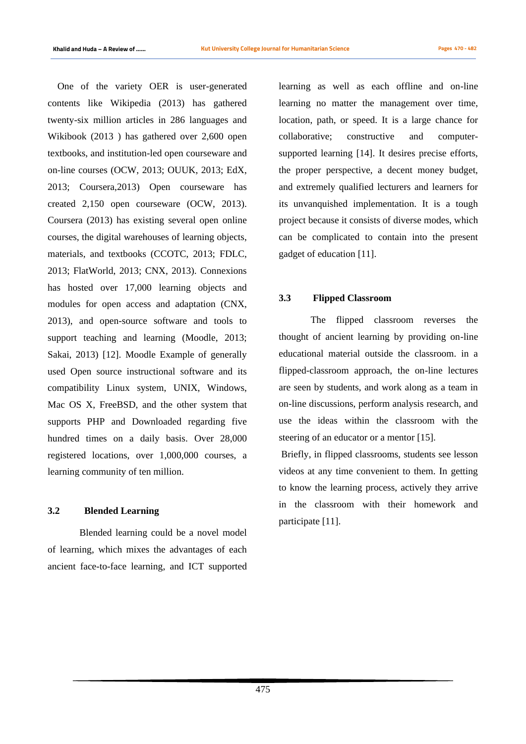One of the variety OER is user-generated contents like Wikipedia (2013) has gathered twenty-six million articles in 286 languages and Wikibook (2013 ) has gathered over 2,600 open textbooks, and institution-led open courseware and on-line courses (OCW, 2013; OUUK, 2013; EdX, 2013; Coursera,2013) Open courseware has created 2,150 open courseware (OCW, 2013). Coursera (2013) has existing several open online courses, the digital warehouses of learning objects, materials, and textbooks (CCOTC, 2013; FDLC, 2013; FlatWorld, 2013; CNX, 2013). Connexions has hosted over 17,000 learning objects and modules for open access and adaptation (CNX, 2013), and open-source software and tools to support teaching and learning (Moodle, 2013; Sakai, 2013) [12]. Moodle Example of generally used Open source instructional software and its compatibility Linux system, UNIX, Windows, Mac OS X, FreeBSD, and the other system that supports PHP and Downloaded regarding five hundred times on a daily basis. Over 28,000 registered locations, over 1,000,000 courses, a learning community of ten million.

# **3.2 Blended Learning**

Blended learning could be a novel model of learning, which mixes the advantages of each ancient face-to-face learning, and ICT supported

learning as well as each offline and on-line learning no matter the management over time, location, path, or speed. It is a large chance for collaborative; constructive and computersupported learning [14]. It desires precise efforts, the proper perspective, a decent money budget, and extremely qualified lecturers and learners for its unvanquished implementation. It is a tough project because it consists of diverse modes, which can be complicated to contain into the present gadget of education [11].

## **3.3 Flipped Classroom**

The flipped classroom reverses the thought of ancient learning by providing on-line educational material outside the classroom. in a flipped-classroom approach, the on-line lectures are seen by students, and work along as a team in on-line discussions, perform analysis research, and use the ideas within the classroom with the steering of an educator or a mentor [15].

Briefly, in flipped classrooms, students see lesson videos at any time convenient to them. In getting to know the learning process, actively they arrive in the classroom with their homework and participate [11].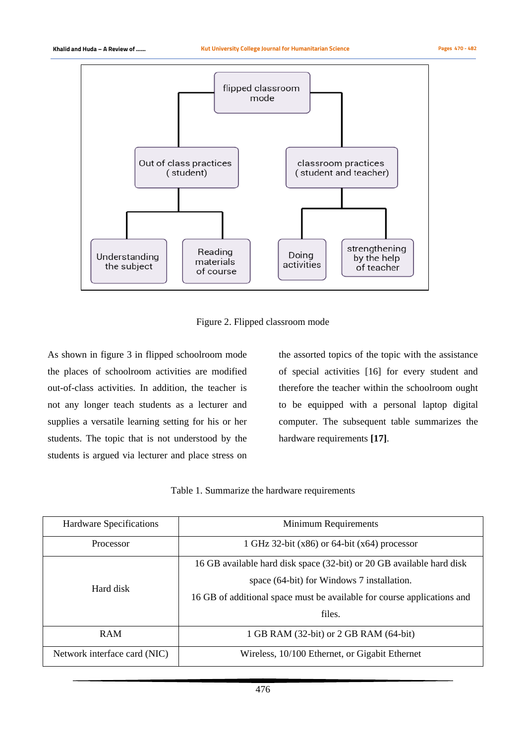

Figure 2. Flipped classroom mode

As shown in figure 3 in flipped schoolroom mode the places of schoolroom activities are modified out-of-class activities. In addition, the teacher is not any longer teach students as a lecturer and supplies a versatile learning setting for his or her students. The topic that is not understood by the students is argued via lecturer and place stress on the assorted topics of the topic with the assistance of special activities [16] for every student and therefore the teacher within the schoolroom ought to be equipped with a personal laptop digital computer. The subsequent table summarizes the hardware requirements **[17]**.

Table 1. Summarize the hardware requirements

| Hardware Specifications      | Minimum Requirements                                                    |  |  |  |  |
|------------------------------|-------------------------------------------------------------------------|--|--|--|--|
| Processor                    | 1 GHz 32-bit $(x86)$ or 64-bit $(x64)$ processor                        |  |  |  |  |
| Hard disk                    | 16 GB available hard disk space (32-bit) or 20 GB available hard disk   |  |  |  |  |
|                              | space (64-bit) for Windows 7 installation.                              |  |  |  |  |
|                              | 16 GB of additional space must be available for course applications and |  |  |  |  |
|                              | files.                                                                  |  |  |  |  |
| <b>RAM</b>                   | 1 GB RAM (32-bit) or 2 GB RAM (64-bit)                                  |  |  |  |  |
| Network interface card (NIC) | Wireless, 10/100 Ethernet, or Gigabit Ethernet                          |  |  |  |  |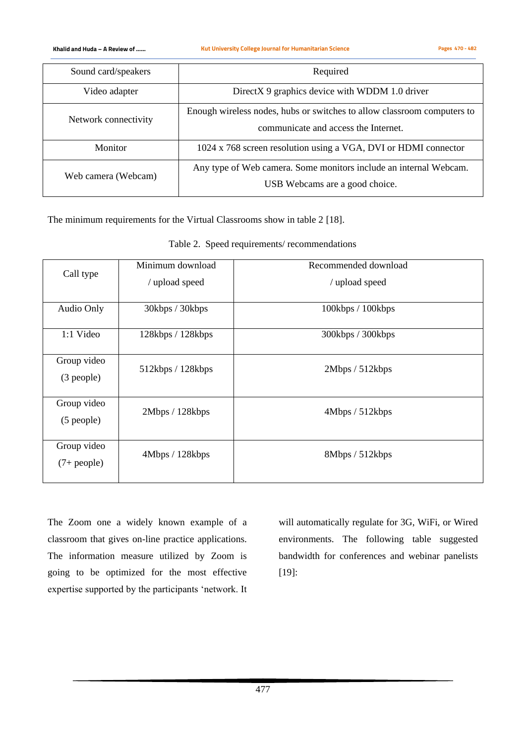**Khalid and Huda – A Review of …… Kut University College Journal for Humanitarian Science Pages 470 - 482**

| Sound card/speakers  | Required                                                                                                        |  |  |
|----------------------|-----------------------------------------------------------------------------------------------------------------|--|--|
| Video adapter        | Direct $X$ 9 graphics device with WDDM 1.0 driver                                                               |  |  |
| Network connectivity | Enough wireless nodes, hubs or switches to allow classroom computers to<br>communicate and access the Internet. |  |  |
| Monitor              | 1024 x 768 screen resolution using a VGA, DVI or HDMI connector                                                 |  |  |
| Web camera (Webcam)  | Any type of Web camera. Some monitors include an internal Webcam.<br>USB Webcams are a good choice.             |  |  |

The minimum requirements for the Virtual Classrooms show in table 2 [18].

| Call type                     | Minimum download<br>/ upload speed | Recommended download<br>/ upload speed |  |  |
|-------------------------------|------------------------------------|----------------------------------------|--|--|
|                               |                                    |                                        |  |  |
| Audio Only                    | 30kbps / 30kbps                    | 100kbps / 100kbps                      |  |  |
| 1:1 Video                     | 128kbps / 128kbps                  | 300kbps / 300kbps                      |  |  |
| Group video<br>(3 people)     | 512kbps / 128kbps                  | 2Mbps / 512kbps                        |  |  |
| Group video<br>$(5$ people)   | 2Mbps / 128kbps                    | 4Mbps / 512kbps                        |  |  |
| Group video<br>$(7 + people)$ | 4Mbps / 128kbps                    | 8Mbps / 512kbps                        |  |  |

Table 2. Speed requirements/ recommendations

The Zoom one a widely known example of a classroom that gives on-line practice applications. The information measure utilized by Zoom is going to be optimized for the most effective expertise supported by the participants 'network. It will automatically regulate for 3G, WiFi, or Wired environments. The following table suggested bandwidth for conferences and webinar panelists [19]: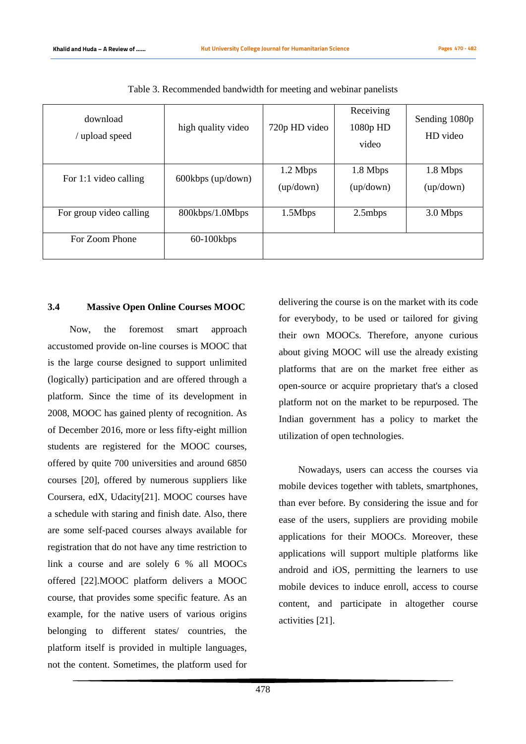| download<br>upload speed | high quality video  | 720p HD video           | Receiving<br>1080p HD<br>video | Sending 1080p<br>HD video |
|--------------------------|---------------------|-------------------------|--------------------------------|---------------------------|
| For 1:1 video calling    | $600kbps$ (up/down) | 1.2 Mbps<br>(up / down) | 1.8 Mbps<br>(up / down)        | 1.8 Mbps<br>(up / down)   |
| For group video calling  | 800kbps/1.0Mbps     | 1.5Mbps                 | 2.5mbps                        | 3.0 Mbps                  |
| For Zoom Phone           | $60-100$ kbps       |                         |                                |                           |

Table 3. Recommended bandwidth for meeting and webinar panelists

### **3.4 Massive Open Online Courses MOOC**

 Now, the foremost smart approach accustomed provide on-line courses is MOOC that is the large course designed to support unlimited (logically) participation and are offered through a platform. Since the time of its development in 2008, MOOC has gained plenty of recognition. As of December 2016, more or less fifty-eight million students are registered for the MOOC courses, offered by quite 700 universities and around 6850 courses [20], offered by numerous suppliers like Coursera, edX, Udacity[21]. MOOC courses have a schedule with staring and finish date. Also, there are some self-paced courses always available for registration that do not have any time restriction to link a course and are solely 6 % all MOOCs offered [22].MOOC platform delivers a MOOC course, that provides some specific feature. As an example, for the native users of various origins belonging to different states/ countries, the platform itself is provided in multiple languages, not the content. Sometimes, the platform used for delivering the course is on the market with its code for everybody, to be used or tailored for giving their own MOOCs. Therefore, anyone curious about giving MOOC will use the already existing platforms that are on the market free either as open-source or acquire proprietary that's a closed platform not on the market to be repurposed. The Indian government has a policy to market the utilization of open technologies.

Nowadays, users can access the courses via mobile devices together with tablets, smartphones, than ever before. By considering the issue and for ease of the users, suppliers are providing mobile applications for their MOOCs. Moreover, these applications will support multiple platforms like android and iOS, permitting the learners to use mobile devices to induce enroll, access to course content, and participate in altogether course activities [21].

478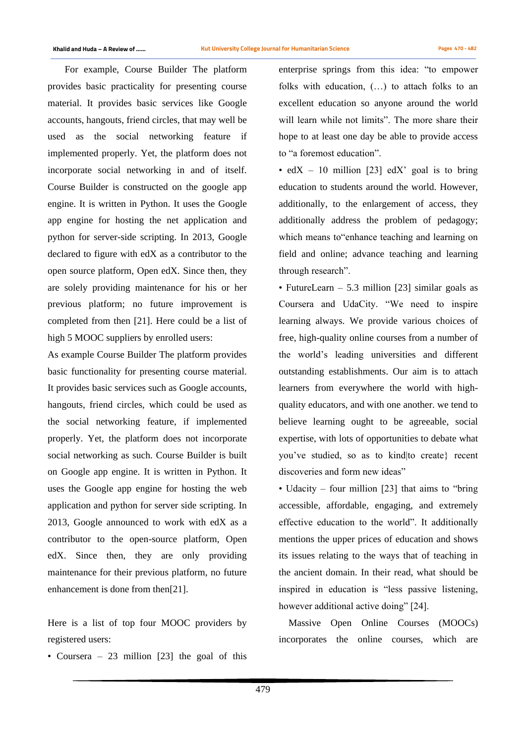For example, Course Builder The platform provides basic practicality for presenting course material. It provides basic services like Google accounts, hangouts, friend circles, that may well be used as the social networking feature if implemented properly. Yet, the platform does not incorporate social networking in and of itself. Course Builder is constructed on the google app engine. It is written in Python. It uses the Google app engine for hosting the net application and python for server-side scripting. In 2013, Google declared to figure with edX as a contributor to the open source platform, Open edX. Since then, they are solely providing maintenance for his or her previous platform; no future improvement is completed from then [21]. Here could be a list of high 5 MOOC suppliers by enrolled users:

As example Course Builder The platform provides basic functionality for presenting course material. It provides basic services such as Google accounts, hangouts, friend circles, which could be used as the social networking feature, if implemented properly. Yet, the platform does not incorporate social networking as such. Course Builder is built on Google app engine. It is written in Python. It uses the Google app engine for hosting the web application and python for server side scripting. In 2013, Google announced to work with edX as a contributor to the open-source platform, Open edX. Since then, they are only providing maintenance for their previous platform, no future enhancement is done from then[21].

Here is a list of top four MOOC providers by registered users:

• Coursera – 23 million [23] the goal of this

enterprise springs from this idea: "to empower folks with education, (…) to attach folks to an excellent education so anyone around the world will learn while not limits". The more share their hope to at least one day be able to provide access to "a foremost education".

• edX – 10 million [23] edX' goal is to bring education to students around the world. However, additionally, to the enlargement of access, they additionally address the problem of pedagogy; which means to"enhance teaching and learning on field and online; advance teaching and learning through research".

• FutureLearn – 5.3 million [23] similar goals as Coursera and UdaCity. "We need to inspire learning always. We provide various choices of free, high-quality online courses from a number of the world's leading universities and different outstanding establishments. Our aim is to attach learners from everywhere the world with highquality educators, and with one another. we tend to believe learning ought to be agreeable, social expertise, with lots of opportunities to debate what you've studied, so as to kind|to create} recent discoveries and form new ideas"

• Udacity – four million [23] that aims to "bring" accessible, affordable, engaging, and extremely effective education to the world". It additionally mentions the upper prices of education and shows its issues relating to the ways that of teaching in the ancient domain. In their read, what should be inspired in education is "less passive listening, however additional active doing" [24].

 Massive Open Online Courses (MOOCs) incorporates the online courses, which are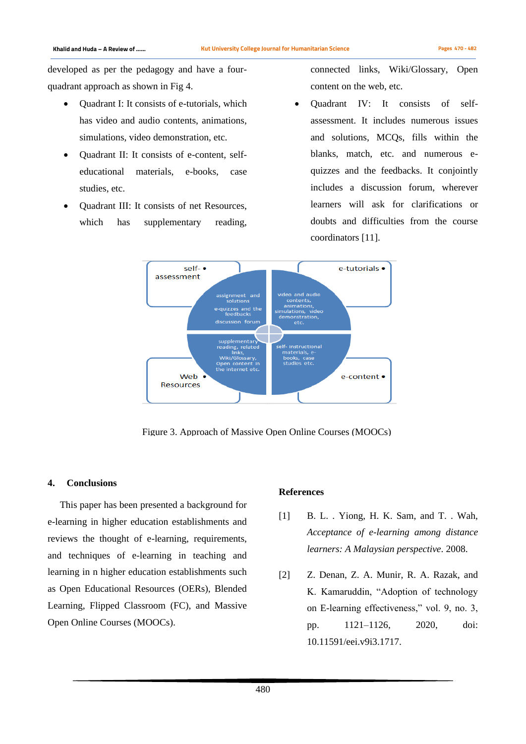developed as per the pedagogy and have a fourquadrant approach as shown in Fig 4.

- Ouadrant I: It consists of e-tutorials, which has video and audio contents, animations, simulations, video demonstration, etc.
- Ouadrant II: It consists of e-content, selfeducational materials, e-books, case studies, etc.
- Quadrant III: It consists of net Resources, which has supplementary reading,

connected links, Wiki/Glossary, Open content on the web, etc.

• Quadrant IV: It consists of selfassessment. It includes numerous issues and solutions, MCQs, fills within the blanks, match, etc. and numerous equizzes and the feedbacks. It conjointly includes a discussion forum, wherever learners will ask for clarifications or doubts and difficulties from the course coordinators [11].



Figure 3. Approach of Massive Open Online Courses (MOOCs)

#### **4. Conclusions**

 This paper has been presented a background for e-learning in higher education establishments and reviews the thought of e-learning, requirements, and techniques of e-learning in teaching and learning in n higher education establishments such as Open Educational Resources (OERs), Blended Learning, Flipped Classroom (FC), and Massive Open Online Courses (MOOCs).

### **References**

- [1] B. L. . Yiong, H. K. Sam, and T. . Wah, *Acceptance of e-learning among distance learners: A Malaysian perspective*. 2008.
- [2] Z. Denan, Z. A. Munir, R. A. Razak, and K. Kamaruddin, "Adoption of technology on E-learning effectiveness," vol. 9, no. 3, pp. 1121–1126, 2020, doi: 10.11591/eei.v9i3.1717.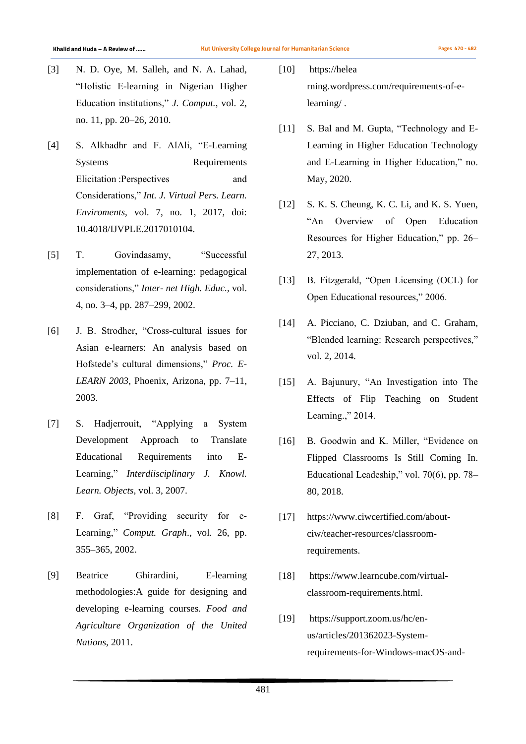- [3] N. D. Oye, M. Salleh, and N. A. Lahad, "Holistic E-learning in Nigerian Higher Education institutions," *J. Comput.*, vol. 2, no. 11, pp. 20–26, 2010.
- [4] S. Alkhadhr and F. AlAli, "E-Learning Systems Requirements Elicitation :Perspectives and Considerations," *Int. J. Virtual Pers. Learn. Enviroments*, vol. 7, no. 1, 2017, doi: 10.4018/IJVPLE.2017010104.
- [5] T. Govindasamy, "Successful implementation of e-learning: pedagogical considerations," *Inter- net High. Educ.*, vol. 4, no. 3–4, pp. 287–299, 2002.
- [6] J. B. Strodher, "Cross-cultural issues for Asian e-learners: An analysis based on Hofstede's cultural dimensions," *Proc. E-LEARN 2003*, Phoenix, Arizona, pp. 7–11, 2003.
- [7] S. Hadjerrouit, "Applying a System Development Approach to Translate Educational Requirements into E-Learning," *Interdiisciplinary J. Knowl. Learn. Objects*, vol. 3, 2007.
- [8] F. Graf, "Providing security for e-Learning," *Comput. Graph*., vol. 26, pp. 355–365, 2002.
- [9] Beatrice Ghirardini, E-learning methodologies:A guide for designing and developing e-learning courses. *Food and Agriculture Organization of the United Nations*, 2011.
- [10] https://helea rning.wordpress.com/requirements-of-elearning/ .
- [11] S. Bal and M. Gupta, "Technology and E-Learning in Higher Education Technology and E-Learning in Higher Education," no. May, 2020.
- [12] S. K. S. Cheung, K. C. Li, and K. S. Yuen, "An Overview of Open Education Resources for Higher Education," pp. 26– 27, 2013.
- [13] B. Fitzgerald, "Open Licensing (OCL) for Open Educational resources," 2006.
- [14] A. Picciano, C. Dziuban, and C. Graham, "Blended learning: Research perspectives," vol. 2, 2014.
- [15] A. Bajunury, "An Investigation into The Effects of Flip Teaching on Student Learning.," 2014.
- [16] B. Goodwin and K. Miller, "Evidence on Flipped Classrooms Is Still Coming In. Educational Leadeship," vol. 70(6), pp. 78– 80, 2018.
- [17] https://www.ciwcertified.com/aboutciw/teacher-resources/classroomrequirements.
- [18] https://www.learncube.com/virtualclassroom-requirements.html.
- [19] https://support.zoom.us/hc/enus/articles/201362023-Systemrequirements-for-Windows-macOS-and-